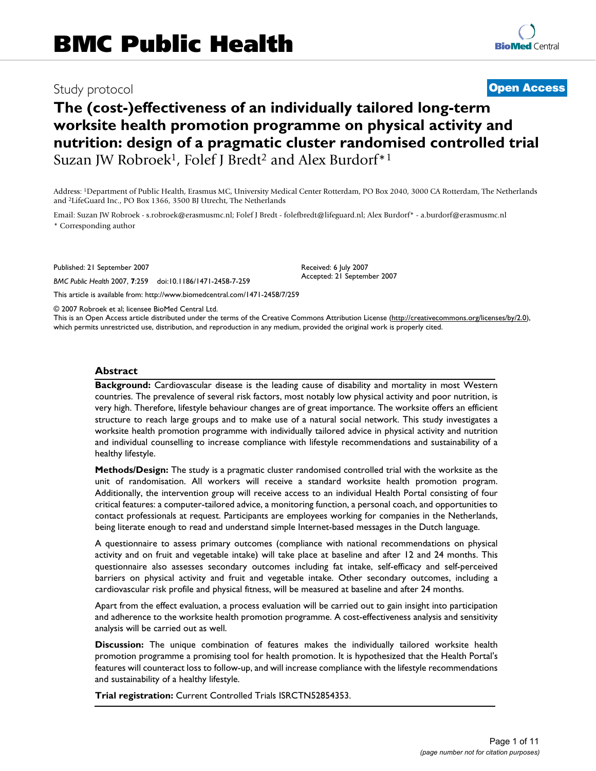# Study protocol **[Open Access](http://www.biomedcentral.com/info/about/charter/)**

# **The (cost-)effectiveness of an individually tailored long-term worksite health promotion programme on physical activity and nutrition: design of a pragmatic cluster randomised controlled trial** Suzan JW Robroek<sup>1</sup>, Folef J Bredt<sup>2</sup> and Alex Burdorf<sup>\*1</sup>

Address: 1Department of Public Health, Erasmus MC, University Medical Center Rotterdam, PO Box 2040, 3000 CA Rotterdam, The Netherlands and 2LifeGuard Inc., PO Box 1366, 3500 BJ Utrecht, The Netherlands

> Received: 6 July 2007 Accepted: 21 September 2007

Email: Suzan JW Robroek - s.robroek@erasmusmc.nl; Folef J Bredt - folefbredt@lifeguard.nl; Alex Burdorf\* - a.burdorf@erasmusmc.nl \* Corresponding author

Published: 21 September 2007

*BMC Public Health* 2007, **7**:259 doi:10.1186/1471-2458-7-259

[This article is available from: http://www.biomedcentral.com/1471-2458/7/259](http://www.biomedcentral.com/1471-2458/7/259)

© 2007 Robroek et al; licensee BioMed Central Ltd.

This is an Open Access article distributed under the terms of the Creative Commons Attribution License [\(http://creativecommons.org/licenses/by/2.0\)](http://creativecommons.org/licenses/by/2.0), which permits unrestricted use, distribution, and reproduction in any medium, provided the original work is properly cited.

#### **Abstract**

**Background:** Cardiovascular disease is the leading cause of disability and mortality in most Western countries. The prevalence of several risk factors, most notably low physical activity and poor nutrition, is very high. Therefore, lifestyle behaviour changes are of great importance. The worksite offers an efficient structure to reach large groups and to make use of a natural social network. This study investigates a worksite health promotion programme with individually tailored advice in physical activity and nutrition and individual counselling to increase compliance with lifestyle recommendations and sustainability of a healthy lifestyle.

**Methods/Design:** The study is a pragmatic cluster randomised controlled trial with the worksite as the unit of randomisation. All workers will receive a standard worksite health promotion program. Additionally, the intervention group will receive access to an individual Health Portal consisting of four critical features: a computer-tailored advice, a monitoring function, a personal coach, and opportunities to contact professionals at request. Participants are employees working for companies in the Netherlands, being literate enough to read and understand simple Internet-based messages in the Dutch language.

A questionnaire to assess primary outcomes (compliance with national recommendations on physical activity and on fruit and vegetable intake) will take place at baseline and after 12 and 24 months. This questionnaire also assesses secondary outcomes including fat intake, self-efficacy and self-perceived barriers on physical activity and fruit and vegetable intake. Other secondary outcomes, including a cardiovascular risk profile and physical fitness, will be measured at baseline and after 24 months.

Apart from the effect evaluation, a process evaluation will be carried out to gain insight into participation and adherence to the worksite health promotion programme. A cost-effectiveness analysis and sensitivity analysis will be carried out as well.

**Discussion:** The unique combination of features makes the individually tailored worksite health promotion programme a promising tool for health promotion. It is hypothesized that the Health Portal's features will counteract loss to follow-up, and will increase compliance with the lifestyle recommendations and sustainability of a healthy lifestyle.

**Trial registration:** Current Controlled Trials ISRCTN52854353.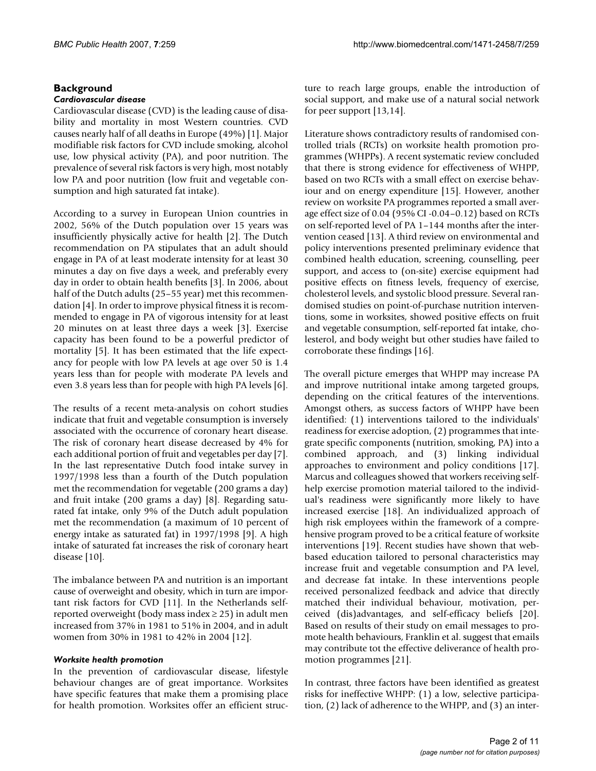#### **Background** *Cardiovascular disease*

Cardiovascular disease (CVD) is the leading cause of disability and mortality in most Western countries. CVD causes nearly half of all deaths in Europe (49%) [1]. Major modifiable risk factors for CVD include smoking, alcohol use, low physical activity (PA), and poor nutrition. The prevalence of several risk factors is very high, most notably low PA and poor nutrition (low fruit and vegetable consumption and high saturated fat intake).

According to a survey in European Union countries in 2002, 56% of the Dutch population over 15 years was insufficiently physically active for health [2]. The Dutch recommendation on PA stipulates that an adult should engage in PA of at least moderate intensity for at least 30 minutes a day on five days a week, and preferably every day in order to obtain health benefits [3]. In 2006, about half of the Dutch adults (25–55 year) met this recommendation [4]. In order to improve physical fitness it is recommended to engage in PA of vigorous intensity for at least 20 minutes on at least three days a week [3]. Exercise capacity has been found to be a powerful predictor of mortality [5]. It has been estimated that the life expectancy for people with low PA levels at age over 50 is 1.4 years less than for people with moderate PA levels and even 3.8 years less than for people with high PA levels [6].

The results of a recent meta-analysis on cohort studies indicate that fruit and vegetable consumption is inversely associated with the occurrence of coronary heart disease. The risk of coronary heart disease decreased by 4% for each additional portion of fruit and vegetables per day [7]. In the last representative Dutch food intake survey in 1997/1998 less than a fourth of the Dutch population met the recommendation for vegetable (200 grams a day) and fruit intake (200 grams a day) [8]. Regarding saturated fat intake, only 9% of the Dutch adult population met the recommendation (a maximum of 10 percent of energy intake as saturated fat) in 1997/1998 [9]. A high intake of saturated fat increases the risk of coronary heart disease [10].

The imbalance between PA and nutrition is an important cause of overweight and obesity, which in turn are important risk factors for CVD [11]. In the Netherlands selfreported overweight (body mass index ≥ 25) in adult men increased from 37% in 1981 to 51% in 2004, and in adult women from 30% in 1981 to 42% in 2004 [12].

# *Worksite health promotion*

In the prevention of cardiovascular disease, lifestyle behaviour changes are of great importance. Worksites have specific features that make them a promising place for health promotion. Worksites offer an efficient structure to reach large groups, enable the introduction of social support, and make use of a natural social network for peer support [13,14].

Literature shows contradictory results of randomised controlled trials (RCTs) on worksite health promotion programmes (WHPPs). A recent systematic review concluded that there is strong evidence for effectiveness of WHPP, based on two RCTs with a small effect on exercise behaviour and on energy expenditure [15]. However, another review on worksite PA programmes reported a small average effect size of 0.04 (95% CI -0.04–0.12) based on RCTs on self-reported level of PA 1–144 months after the intervention ceased [13]. A third review on environmental and policy interventions presented preliminary evidence that combined health education, screening, counselling, peer support, and access to (on-site) exercise equipment had positive effects on fitness levels, frequency of exercise, cholesterol levels, and systolic blood pressure. Several randomised studies on point-of-purchase nutrition interventions, some in worksites, showed positive effects on fruit and vegetable consumption, self-reported fat intake, cholesterol, and body weight but other studies have failed to corroborate these findings [16].

The overall picture emerges that WHPP may increase PA and improve nutritional intake among targeted groups, depending on the critical features of the interventions. Amongst others, as success factors of WHPP have been identified: (1) interventions tailored to the individuals' readiness for exercise adoption, (2) programmes that integrate specific components (nutrition, smoking, PA) into a combined approach, and (3) linking individual approaches to environment and policy conditions [17]. Marcus and colleagues showed that workers receiving selfhelp exercise promotion material tailored to the individual's readiness were significantly more likely to have increased exercise [18]. An individualized approach of high risk employees within the framework of a comprehensive program proved to be a critical feature of worksite interventions [19]. Recent studies have shown that webbased education tailored to personal characteristics may increase fruit and vegetable consumption and PA level, and decrease fat intake. In these interventions people received personalized feedback and advice that directly matched their individual behaviour, motivation, perceived (dis)advantages, and self-efficacy beliefs [20]. Based on results of their study on email messages to promote health behaviours, Franklin et al. suggest that emails may contribute tot the effective deliverance of health promotion programmes [21].

In contrast, three factors have been identified as greatest risks for ineffective WHPP: (1) a low, selective participation, (2) lack of adherence to the WHPP, and (3) an inter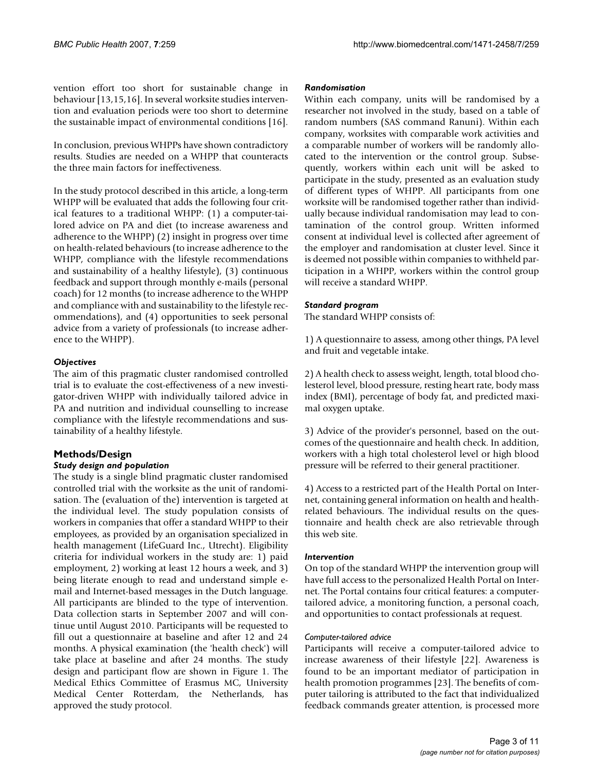vention effort too short for sustainable change in behaviour [13,15,16]. In several worksite studies intervention and evaluation periods were too short to determine the sustainable impact of environmental conditions [16].

In conclusion, previous WHPPs have shown contradictory results. Studies are needed on a WHPP that counteracts the three main factors for ineffectiveness.

In the study protocol described in this article, a long-term WHPP will be evaluated that adds the following four critical features to a traditional WHPP: (1) a computer-tailored advice on PA and diet (to increase awareness and adherence to the WHPP) (2) insight in progress over time on health-related behaviours (to increase adherence to the WHPP, compliance with the lifestyle recommendations and sustainability of a healthy lifestyle), (3) continuous feedback and support through monthly e-mails (personal coach) for 12 months (to increase adherence to the WHPP and compliance with and sustainability to the lifestyle recommendations), and (4) opportunities to seek personal advice from a variety of professionals (to increase adherence to the WHPP).

## *Objectives*

The aim of this pragmatic cluster randomised controlled trial is to evaluate the cost-effectiveness of a new investigator-driven WHPP with individually tailored advice in PA and nutrition and individual counselling to increase compliance with the lifestyle recommendations and sustainability of a healthy lifestyle.

# **Methods/Design**

#### *Study design and population*

The study is a single blind pragmatic cluster randomised controlled trial with the worksite as the unit of randomisation. The (evaluation of the) intervention is targeted at the individual level. The study population consists of workers in companies that offer a standard WHPP to their employees, as provided by an organisation specialized in health management (LifeGuard Inc., Utrecht). Eligibility criteria for individual workers in the study are: 1) paid employment, 2) working at least 12 hours a week, and 3) being literate enough to read and understand simple email and Internet-based messages in the Dutch language. All participants are blinded to the type of intervention. Data collection starts in September 2007 and will continue until August 2010. Participants will be requested to fill out a questionnaire at baseline and after 12 and 24 months. A physical examination (the 'health check') will take place at baseline and after 24 months. The study design and participant flow are shown in Figure 1. The Medical Ethics Committee of Erasmus MC, University Medical Center Rotterdam, the Netherlands, has approved the study protocol.

#### *Randomisation*

Within each company, units will be randomised by a researcher not involved in the study, based on a table of random numbers (SAS command Ranuni). Within each company, worksites with comparable work activities and a comparable number of workers will be randomly allocated to the intervention or the control group. Subsequently, workers within each unit will be asked to participate in the study, presented as an evaluation study of different types of WHPP. All participants from one worksite will be randomised together rather than individually because individual randomisation may lead to contamination of the control group. Written informed consent at individual level is collected after agreement of the employer and randomisation at cluster level. Since it is deemed not possible within companies to withheld participation in a WHPP, workers within the control group will receive a standard WHPP.

#### *Standard program*

The standard WHPP consists of:

1) A questionnaire to assess, among other things, PA level and fruit and vegetable intake.

2) A health check to assess weight, length, total blood cholesterol level, blood pressure, resting heart rate, body mass index (BMI), percentage of body fat, and predicted maximal oxygen uptake.

3) Advice of the provider's personnel, based on the outcomes of the questionnaire and health check. In addition, workers with a high total cholesterol level or high blood pressure will be referred to their general practitioner.

4) Access to a restricted part of the Health Portal on Internet, containing general information on health and healthrelated behaviours. The individual results on the questionnaire and health check are also retrievable through this web site.

#### *Intervention*

On top of the standard WHPP the intervention group will have full access to the personalized Health Portal on Internet. The Portal contains four critical features: a computertailored advice, a monitoring function, a personal coach, and opportunities to contact professionals at request.

#### *Computer-tailored advice*

Participants will receive a computer-tailored advice to increase awareness of their lifestyle [22]. Awareness is found to be an important mediator of participation in health promotion programmes [23]. The benefits of computer tailoring is attributed to the fact that individualized feedback commands greater attention, is processed more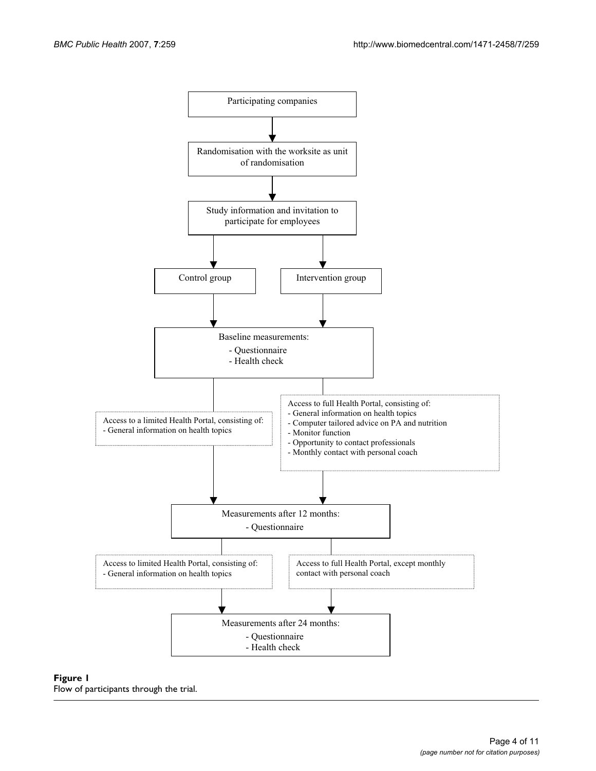

Figure 1 Flow of participants through the trial.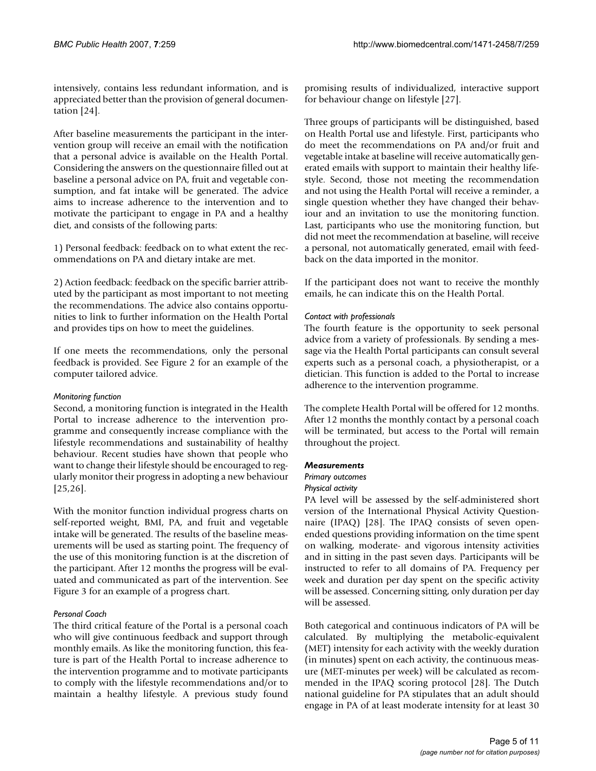intensively, contains less redundant information, and is appreciated better than the provision of general documentation [24].

After baseline measurements the participant in the intervention group will receive an email with the notification that a personal advice is available on the Health Portal. Considering the answers on the questionnaire filled out at baseline a personal advice on PA, fruit and vegetable consumption, and fat intake will be generated. The advice aims to increase adherence to the intervention and to motivate the participant to engage in PA and a healthy diet, and consists of the following parts:

1) Personal feedback: feedback on to what extent the recommendations on PA and dietary intake are met.

2) Action feedback: feedback on the specific barrier attributed by the participant as most important to not meeting the recommendations. The advice also contains opportunities to link to further information on the Health Portal and provides tips on how to meet the guidelines.

If one meets the recommendations, only the personal feedback is provided. See Figure 2 for an example of the computer tailored advice.

# *Monitoring function*

Second, a monitoring function is integrated in the Health Portal to increase adherence to the intervention programme and consequently increase compliance with the lifestyle recommendations and sustainability of healthy behaviour. Recent studies have shown that people who want to change their lifestyle should be encouraged to regularly monitor their progress in adopting a new behaviour [25,26].

With the monitor function individual progress charts on self-reported weight, BMI, PA, and fruit and vegetable intake will be generated. The results of the baseline measurements will be used as starting point. The frequency of the use of this monitoring function is at the discretion of the participant. After 12 months the progress will be evaluated and communicated as part of the intervention. See Figure 3 for an example of a progress chart.

# *Personal Coach*

The third critical feature of the Portal is a personal coach who will give continuous feedback and support through monthly emails. As like the monitoring function, this feature is part of the Health Portal to increase adherence to the intervention programme and to motivate participants to comply with the lifestyle recommendations and/or to maintain a healthy lifestyle. A previous study found promising results of individualized, interactive support for behaviour change on lifestyle [27].

Three groups of participants will be distinguished, based on Health Portal use and lifestyle. First, participants who do meet the recommendations on PA and/or fruit and vegetable intake at baseline will receive automatically generated emails with support to maintain their healthy lifestyle. Second, those not meeting the recommendation and not using the Health Portal will receive a reminder, a single question whether they have changed their behaviour and an invitation to use the monitoring function. Last, participants who use the monitoring function, but did not meet the recommendation at baseline, will receive a personal, not automatically generated, email with feedback on the data imported in the monitor.

If the participant does not want to receive the monthly emails, he can indicate this on the Health Portal.

## *Contact with professionals*

The fourth feature is the opportunity to seek personal advice from a variety of professionals. By sending a message via the Health Portal participants can consult several experts such as a personal coach, a physiotherapist, or a dietician. This function is added to the Portal to increase adherence to the intervention programme.

The complete Health Portal will be offered for 12 months. After 12 months the monthly contact by a personal coach will be terminated, but access to the Portal will remain throughout the project.

# *Measurements*

# *Primary outcomes*

#### *Physical activity*

PA level will be assessed by the self-administered short version of the International Physical Activity Questionnaire (IPAQ) [28]. The IPAQ consists of seven openended questions providing information on the time spent on walking, moderate- and vigorous intensity activities and in sitting in the past seven days. Participants will be instructed to refer to all domains of PA. Frequency per week and duration per day spent on the specific activity will be assessed. Concerning sitting, only duration per day will be assessed.

Both categorical and continuous indicators of PA will be calculated. By multiplying the metabolic-equivalent (MET) intensity for each activity with the weekly duration (in minutes) spent on each activity, the continuous measure (MET-minutes per week) will be calculated as recommended in the IPAQ scoring protocol [28]. The Dutch national guideline for PA stipulates that an adult should engage in PA of at least moderate intensity for at least 30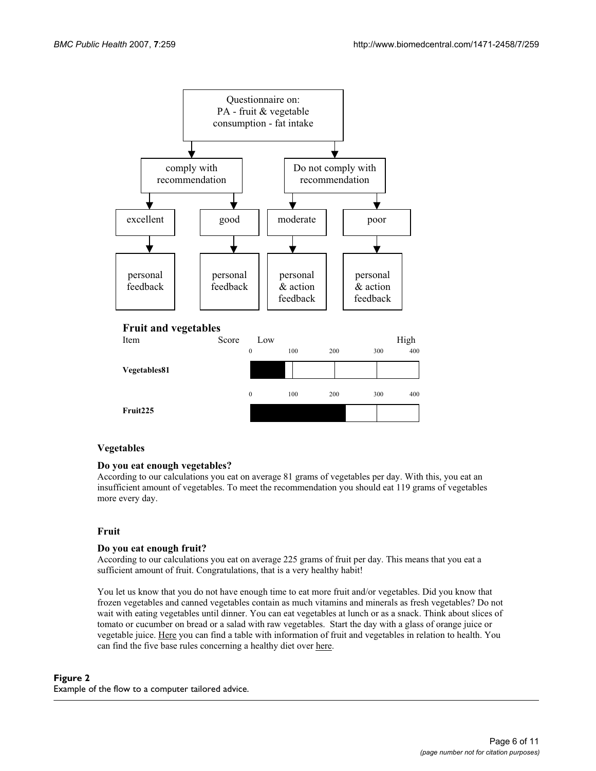

# **Vegetables**

# **Do you eat enough vegetables?**

According to our calculations you eat on average 81 grams of vegetables per day. With this, you eat an insufficient amount of vegetables. To meet the recommendation you should eat 119 grams of vegetables more every day.

# **Fruit**

# **Do you eat enough fruit?**

According to our calculations you eat on average 225 grams of fruit per day. This means that you eat a sufficient amount of fruit. Congratulations, that is a very healthy habit!

You let us know that you do not have enough time to eat more fruit and/or vegetables. Did you know that frozen vegetables and canned vegetables contain as much vitamins and minerals as fresh vegetables? Do not wait with eating vegetables until dinner. You can eat vegetables at lunch or as a snack. Think about slices of tomato or cucumber on bread or a salad with raw vegetables. Start the day with a glass of orange juice or vegetable juice. Here you can find a table with information of fruit and vegetables in relation to health. You can find the five base rules concerning a healthy diet over here.

# Figure 2 Example of the flow to a computer tailored advice.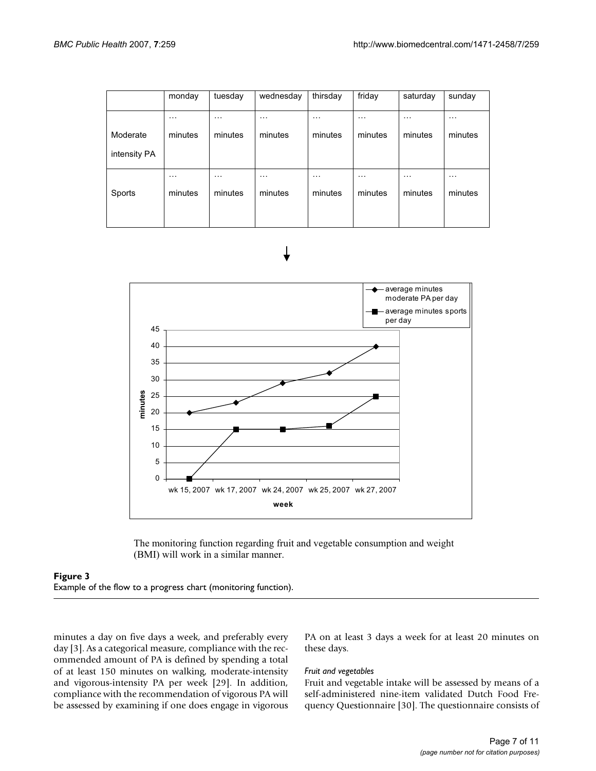|              | monday   | tuesday  | wednesday | thirsday | friday   | saturday | sunday   |
|--------------|----------|----------|-----------|----------|----------|----------|----------|
|              | $\cdots$ | $\cdots$ | $\cdots$  | $\cdots$ | $\cdots$ | $\cdots$ | $\cdots$ |
| Moderate     | minutes  | minutes  | minutes   | minutes  | minutes  | minutes  | minutes  |
| intensity PA |          |          |           |          |          |          |          |
|              | $\cdots$ | $\cdots$ | $\cdots$  | $\cdots$ | $\cdots$ | $\cdots$ | $\cdots$ |
| Sports       | minutes  | minutes  | minutes   | minutes  | minutes  | minutes  | minutes  |
|              |          |          |           |          |          |          |          |
|              |          |          |           |          |          |          |          |





The monitoring function regarding fruit and vegetable consumption and weight (BMI) will work in a similar manner.

#### **Figure 3** Example of the flow to a progress chart (monitoring function).

minutes a day on five days a week, and preferably every day [3]. As a categorical measure, compliance with the recommended amount of PA is defined by spending a total of at least 150 minutes on walking, moderate-intensity and vigorous-intensity PA per week [29]. In addition, compliance with the recommendation of vigorous PA will be assessed by examining if one does engage in vigorous PA on at least 3 days a week for at least 20 minutes on these days.

#### *Fruit and vegetables*

Fruit and vegetable intake will be assessed by means of a self-administered nine-item validated Dutch Food Frequency Questionnaire [30]. The questionnaire consists of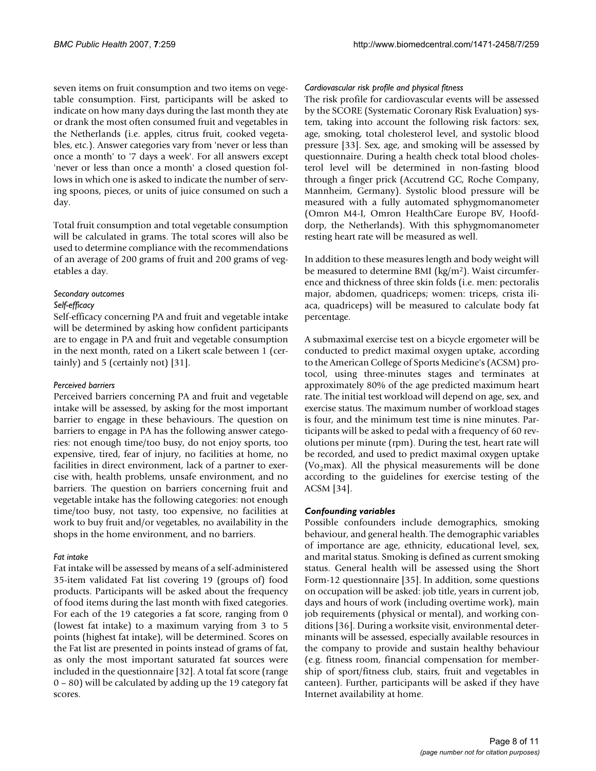seven items on fruit consumption and two items on vegetable consumption. First, participants will be asked to indicate on how many days during the last month they ate or drank the most often consumed fruit and vegetables in the Netherlands (i.e. apples, citrus fruit, cooked vegetables, etc.). Answer categories vary from 'never or less than once a month' to '7 days a week'. For all answers except 'never or less than once a month' a closed question follows in which one is asked to indicate the number of serving spoons, pieces, or units of juice consumed on such a day.

Total fruit consumption and total vegetable consumption will be calculated in grams. The total scores will also be used to determine compliance with the recommendations of an average of 200 grams of fruit and 200 grams of vegetables a day.

# *Secondary outcomes*

## *Self-efficacy*

Self-efficacy concerning PA and fruit and vegetable intake will be determined by asking how confident participants are to engage in PA and fruit and vegetable consumption in the next month, rated on a Likert scale between 1 (certainly) and 5 (certainly not) [31].

# *Perceived barriers*

Perceived barriers concerning PA and fruit and vegetable intake will be assessed, by asking for the most important barrier to engage in these behaviours. The question on barriers to engage in PA has the following answer categories: not enough time/too busy, do not enjoy sports, too expensive, tired, fear of injury, no facilities at home, no facilities in direct environment, lack of a partner to exercise with, health problems, unsafe environment, and no barriers. The question on barriers concerning fruit and vegetable intake has the following categories: not enough time/too busy, not tasty, too expensive, no facilities at work to buy fruit and/or vegetables, no availability in the shops in the home environment, and no barriers.

# *Fat intake*

Fat intake will be assessed by means of a self-administered 35-item validated Fat list covering 19 (groups of) food products. Participants will be asked about the frequency of food items during the last month with fixed categories. For each of the 19 categories a fat score, ranging from 0 (lowest fat intake) to a maximum varying from 3 to 5 points (highest fat intake), will be determined. Scores on the Fat list are presented in points instead of grams of fat, as only the most important saturated fat sources were included in the questionnaire [32]. A total fat score (range 0 – 80) will be calculated by adding up the 19 category fat scores.

# *Cardiovascular risk profile and physical fitness*

The risk profile for cardiovascular events will be assessed by the SCORE (Systematic Coronary Risk Evaluation) system, taking into account the following risk factors: sex, age, smoking, total cholesterol level, and systolic blood pressure [33]. Sex, age, and smoking will be assessed by questionnaire. During a health check total blood cholesterol level will be determined in non-fasting blood through a finger prick (Accutrend GC, Roche Company, Mannheim, Germany). Systolic blood pressure will be measured with a fully automated sphygmomanometer (Omron M4-I, Omron HealthCare Europe BV, Hoofddorp, the Netherlands). With this sphygmomanometer resting heart rate will be measured as well.

In addition to these measures length and body weight will be measured to determine BMI ( $\text{kg/m}^2$ ). Waist circumference and thickness of three skin folds (i.e. men: pectoralis major, abdomen, quadriceps; women: triceps, crista iliaca, quadriceps) will be measured to calculate body fat percentage.

A submaximal exercise test on a bicycle ergometer will be conducted to predict maximal oxygen uptake, according to the American College of Sports Medicine's (ACSM) protocol, using three-minutes stages and terminates at approximately 80% of the age predicted maximum heart rate. The initial test workload will depend on age, sex, and exercise status. The maximum number of workload stages is four, and the minimum test time is nine minutes. Participants will be asked to pedal with a frequency of 60 revolutions per minute (rpm). During the test, heart rate will be recorded, and used to predict maximal oxygen uptake (Vo<sub>2</sub>max). All the physical measurements will be done according to the guidelines for exercise testing of the ACSM [34].

#### *Confounding variables*

Possible confounders include demographics, smoking behaviour, and general health. The demographic variables of importance are age, ethnicity, educational level, sex, and marital status. Smoking is defined as current smoking status. General health will be assessed using the Short Form-12 questionnaire [35]. In addition, some questions on occupation will be asked: job title, years in current job, days and hours of work (including overtime work), main job requirements (physical or mental), and working conditions [36]. During a worksite visit, environmental determinants will be assessed, especially available resources in the company to provide and sustain healthy behaviour (e.g. fitness room, financial compensation for membership of sport/fitness club, stairs, fruit and vegetables in canteen). Further, participants will be asked if they have Internet availability at home.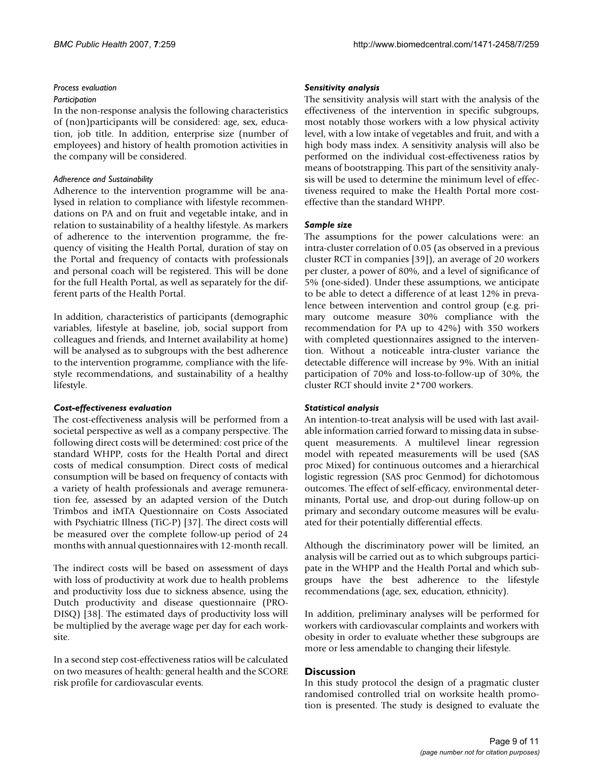# *Process evaluation*

#### *Participation*

In the non-response analysis the following characteristics of (non)participants will be considered: age, sex, education, job title. In addition, enterprise size (number of employees) and history of health promotion activities in the company will be considered.

# *Adherence and Sustainability*

Adherence to the intervention programme will be analysed in relation to compliance with lifestyle recommendations on PA and on fruit and vegetable intake, and in relation to sustainability of a healthy lifestyle. As markers of adherence to the intervention programme, the frequency of visiting the Health Portal, duration of stay on the Portal and frequency of contacts with professionals and personal coach will be registered. This will be done for the full Health Portal, as well as separately for the different parts of the Health Portal.

In addition, characteristics of participants (demographic variables, lifestyle at baseline, job, social support from colleagues and friends, and Internet availability at home) will be analysed as to subgroups with the best adherence to the intervention programme, compliance with the lifestyle recommendations, and sustainability of a healthy lifestyle.

# *Cost-effectiveness evaluation*

The cost-effectiveness analysis will be performed from a societal perspective as well as a company perspective. The following direct costs will be determined: cost price of the standard WHPP, costs for the Health Portal and direct costs of medical consumption. Direct costs of medical consumption will be based on frequency of contacts with a variety of health professionals and average remuneration fee, assessed by an adapted version of the Dutch Trimbos and iMTA Questionnaire on Costs Associated with Psychiatric Illness (TiC-P) [37]. The direct costs will be measured over the complete follow-up period of 24 months with annual questionnaires with 12-month recall.

The indirect costs will be based on assessment of days with loss of productivity at work due to health problems and productivity loss due to sickness absence, using the Dutch productivity and disease questionnaire (PRO-DISQ) [38]. The estimated days of productivity loss will be multiplied by the average wage per day for each worksite.

In a second step cost-effectiveness ratios will be calculated on two measures of health: general health and the SCORE risk profile for cardiovascular events.

#### *Sensitivity analysis*

The sensitivity analysis will start with the analysis of the effectiveness of the intervention in specific subgroups, most notably those workers with a low physical activity level, with a low intake of vegetables and fruit, and with a high body mass index. A sensitivity analysis will also be performed on the individual cost-effectiveness ratios by means of bootstrapping. This part of the sensitivity analysis will be used to determine the minimum level of effectiveness required to make the Health Portal more costeffective than the standard WHPP.

# *Sample size*

The assumptions for the power calculations were: an intra-cluster correlation of 0.05 (as observed in a previous cluster RCT in companies [39]), an average of 20 workers per cluster, a power of 80%, and a level of significance of 5% (one-sided). Under these assumptions, we anticipate to be able to detect a difference of at least 12% in prevalence between intervention and control group (e.g. primary outcome measure 30% compliance with the recommendation for PA up to 42%) with 350 workers with completed questionnaires assigned to the intervention. Without a noticeable intra-cluster variance the detectable difference will increase by 9%. With an initial participation of 70% and loss-to-follow-up of 30%, the cluster RCT should invite 2\*700 workers.

# *Statistical analysis*

An intention-to-treat analysis will be used with last available information carried forward to missing data in subsequent measurements. A multilevel linear regression model with repeated measurements will be used (SAS proc Mixed) for continuous outcomes and a hierarchical logistic regression (SAS proc Genmod) for dichotomous outcomes. The effect of self-efficacy, environmental determinants, Portal use, and drop-out during follow-up on primary and secondary outcome measures will be evaluated for their potentially differential effects.

Although the discriminatory power will be limited, an analysis will be carried out as to which subgroups participate in the WHPP and the Health Portal and which subgroups have the best adherence to the lifestyle recommendations (age, sex, education, ethnicity).

In addition, preliminary analyses will be performed for workers with cardiovascular complaints and workers with obesity in order to evaluate whether these subgroups are more or less amendable to changing their lifestyle.

# **Discussion**

In this study protocol the design of a pragmatic cluster randomised controlled trial on worksite health promotion is presented. The study is designed to evaluate the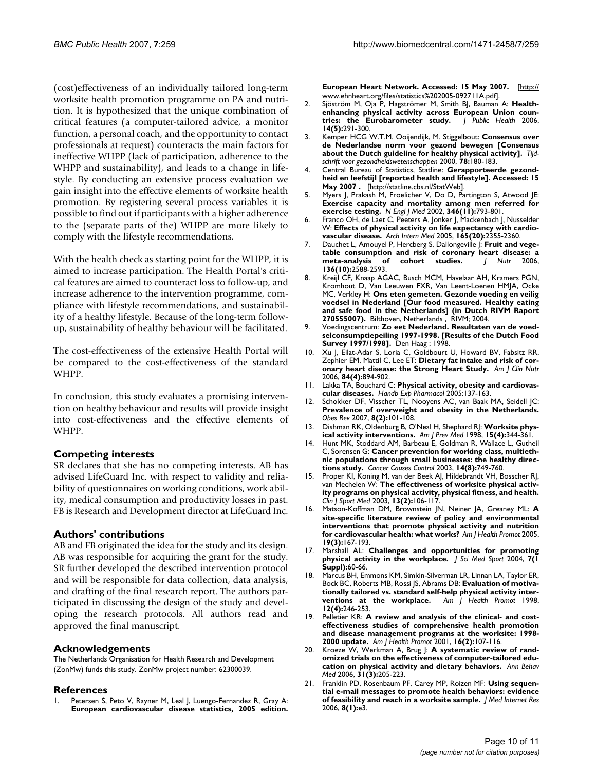(cost)effectiveness of an individually tailored long-term worksite health promotion programme on PA and nutrition. It is hypothesized that the unique combination of critical features (a computer-tailored advice, a monitor function, a personal coach, and the opportunity to contact professionals at request) counteracts the main factors for ineffective WHPP (lack of participation, adherence to the WHPP and sustainability), and leads to a change in lifestyle. By conducting an extensive process evaluation we gain insight into the effective elements of worksite health promotion. By registering several process variables it is possible to find out if participants with a higher adherence to the (separate parts of the) WHPP are more likely to comply with the lifestyle recommendations.

With the health check as starting point for the WHPP, it is aimed to increase participation. The Health Portal's critical features are aimed to counteract loss to follow-up, and increase adherence to the intervention programme, compliance with lifestyle recommendations, and sustainability of a healthy lifestyle. Because of the long-term followup, sustainability of healthy behaviour will be facilitated.

The cost-effectiveness of the extensive Health Portal will be compared to the cost-effectiveness of the standard WHPP.

In conclusion, this study evaluates a promising intervention on healthy behaviour and results will provide insight into cost-effectiveness and the effective elements of WHPP.

# **Competing interests**

SR declares that she has no competing interests. AB has advised LifeGuard Inc. with respect to validity and reliability of questionnaires on working conditions, work ability, medical consumption and productivity losses in past. FB is Research and Development director at LifeGuard Inc.

# **Authors' contributions**

AB and FB originated the idea for the study and its design. AB was responsible for acquiring the grant for the study. SR further developed the described intervention protocol and will be responsible for data collection, data analysis, and drafting of the final research report. The authors participated in discussing the design of the study and developing the research protocols. All authors read and approved the final manuscript.

#### **Acknowledgements**

The Netherlands Organisation for Health Research and Development (ZonMw) funds this study. ZonMw project number: 62300039.

#### **References**

Petersen S, Peto V, Rayner M, Leal J, Luengo-Fernandez R, Gray A: **European cardiovascular disease statistics, 2005 edition.**

**European Heart Network. Accessed: 15 May 2007.** [\[http://](http://www.ehnheart.org/files/statistics%202005-092711A.pdf) [www.ehnheart.org/files/statistics%202005-092711A.pdf](http://www.ehnheart.org/files/statistics%202005-092711A.pdf)].

- 2. Sjöström M, Oja P, Hagströmer M, Smith BJ, Bauman A: **Health**enhancing physical activity across European Union countries: the Eurobarometer study. *| Public Health 2006*, tries: the Eurobarometer study. **14(5):**291-300.
- 3. Kemper HCG W.T.M. Ooijendijk, M. Stiggelbout: **Consensus over de Nederlandse norm voor gezond bewegen [Consensus about the Dutch guideline for healthy physical activity].** *Tijdschrift voor gezondheidswetenschappen* 2000, **78:**180-183.
- 4. Central Bureau of Statistics, Statline: **Gerapporteerde gezondheid en leefstijl [reported health and lifestyle]. Accessed: 15** May 2007 . [\[http://statline.cbs.nl/StatWeb](http://statline.cbs.nl/StatWeb)].
- 5. Myers J, Prakash M, Froelicher V, Do D, Partington S, Atwood JE: **[Exercise capacity and mortality among men referred for](http://www.ncbi.nlm.nih.gov/entrez/query.fcgi?cmd=Retrieve&db=PubMed&dopt=Abstract&list_uids=11893790) [exercise testing.](http://www.ncbi.nlm.nih.gov/entrez/query.fcgi?cmd=Retrieve&db=PubMed&dopt=Abstract&list_uids=11893790)** *N Engl J Med* 2002, **346(11):**793-801.
- 6. Franco OH, de Laet C, Peeters A, Jonker J, Mackenbach J, Nusselder W: **[Effects of physical activity on life expectancy with cardio](http://www.ncbi.nlm.nih.gov/entrez/query.fcgi?cmd=Retrieve&db=PubMed&dopt=Abstract&list_uids=16287764)[vascular disease.](http://www.ncbi.nlm.nih.gov/entrez/query.fcgi?cmd=Retrieve&db=PubMed&dopt=Abstract&list_uids=16287764)** *Arch Intern Med* 2005, **165(20):**2355-2360.
- 7. Dauchet L, Amouyel P, Hercberg S, Dallongeville J: **[Fruit and vege](http://www.ncbi.nlm.nih.gov/entrez/query.fcgi?cmd=Retrieve&db=PubMed&dopt=Abstract&list_uids=16988131)[table consumption and risk of coronary heart disease: a](http://www.ncbi.nlm.nih.gov/entrez/query.fcgi?cmd=Retrieve&db=PubMed&dopt=Abstract&list_uids=16988131)** [meta-analysis of cohort studies.](http://www.ncbi.nlm.nih.gov/entrez/query.fcgi?cmd=Retrieve&db=PubMed&dopt=Abstract&list_uids=16988131) J **136(10):**2588-2593.
- 8. Kreijl CF, Knaap AGAC, Busch MCM, Havelaar AH, Kramers PGN, Kromhout D, Van Leeuwen FXR, Van Leent-Loenen HMJA, Ocke MC, Verkley H: **Ons eten gemeten. Gezonde voeding en veilig voedsel in Nederland [Our food measured. Healthy eating and safe food in the Netherlands] (in Dutch RIVM Raport 270555007).** Bilthoven, Netherlands , RIVM; 2004.
- 9. Voedingscentrum: **Zo eet Nederland. Resultaten van de voedselconsumptiepeiling 1997-1998. [Results of the Dutch Food Survey 1997/1998].** Den Haag ; 1998.
- 10. Xu J, Eilat-Adar S, Loria C, Goldbourt U, Howard BV, Fabsitz RR, Zephier EM, Mattil C, Lee ET: **[Dietary fat intake and risk of cor](http://www.ncbi.nlm.nih.gov/entrez/query.fcgi?cmd=Retrieve&db=PubMed&dopt=Abstract&list_uids=17023718)[onary heart disease: the Strong Heart Study.](http://www.ncbi.nlm.nih.gov/entrez/query.fcgi?cmd=Retrieve&db=PubMed&dopt=Abstract&list_uids=17023718)** *Am J Clin Nutr* 2006, **84(4):**894-902.
- 11. Lakka TA, Bouchard C: **[Physical activity, obesity and cardiovas](http://www.ncbi.nlm.nih.gov/entrez/query.fcgi?cmd=Retrieve&db=PubMed&dopt=Abstract&list_uids=16596798)[cular diseases.](http://www.ncbi.nlm.nih.gov/entrez/query.fcgi?cmd=Retrieve&db=PubMed&dopt=Abstract&list_uids=16596798)** *Handb Exp Pharmacol* 2005:137-163.
- 12. Schokker DF, Visscher TL, Nooyens AC, van Baak MA, Seidell JC: **[Prevalence of overweight and obesity in the Netherlands.](http://www.ncbi.nlm.nih.gov/entrez/query.fcgi?cmd=Retrieve&db=PubMed&dopt=Abstract&list_uids=17300276)** *Obes Rev* 2007, **8(2):**101-108.
- 13. Dishman RK, Oldenburg B, O'Neal H, Shephard RJ: **[Worksite phys](http://www.ncbi.nlm.nih.gov/entrez/query.fcgi?cmd=Retrieve&db=PubMed&dopt=Abstract&list_uids=9838977)[ical activity interventions.](http://www.ncbi.nlm.nih.gov/entrez/query.fcgi?cmd=Retrieve&db=PubMed&dopt=Abstract&list_uids=9838977)** *Am J Prev Med* 1998, **15(4):**344-361.
- 14. Hunt MK, Stoddard AM, Barbeau E, Goldman R, Wallace L, Gutheil C, Sorensen G: **[Cancer prevention for working class, multieth](http://www.ncbi.nlm.nih.gov/entrez/query.fcgi?cmd=Retrieve&db=PubMed&dopt=Abstract&list_uids=14674739)[nic populations through small businesses: the healthy direc](http://www.ncbi.nlm.nih.gov/entrez/query.fcgi?cmd=Retrieve&db=PubMed&dopt=Abstract&list_uids=14674739)[tions study.](http://www.ncbi.nlm.nih.gov/entrez/query.fcgi?cmd=Retrieve&db=PubMed&dopt=Abstract&list_uids=14674739)** *Cancer Causes Control* 2003, **14(8):**749-760.
- 15. Proper KI, Koning M, van der Beek AJ, Hildebrandt VH, Bosscher RJ, van Mechelen W: **[The effectiveness of worksite physical activ](http://www.ncbi.nlm.nih.gov/entrez/query.fcgi?cmd=Retrieve&db=PubMed&dopt=Abstract&list_uids=12629429)[ity programs on physical activity, physical fitness, and health.](http://www.ncbi.nlm.nih.gov/entrez/query.fcgi?cmd=Retrieve&db=PubMed&dopt=Abstract&list_uids=12629429)** *Clin J Sport Med* 2003, **13(2):**106-117.
- 16. Matson-Koffman DM, Brownstein JN, Neiner JA, Greaney ML: **[A](http://www.ncbi.nlm.nih.gov/entrez/query.fcgi?cmd=Retrieve&db=PubMed&dopt=Abstract&list_uids=15693346) site-specific literature review of policy and environmental [interventions that promote physical activity and nutrition](http://www.ncbi.nlm.nih.gov/entrez/query.fcgi?cmd=Retrieve&db=PubMed&dopt=Abstract&list_uids=15693346) [for cardiovascular health: what works?](http://www.ncbi.nlm.nih.gov/entrez/query.fcgi?cmd=Retrieve&db=PubMed&dopt=Abstract&list_uids=15693346)** *Am J Health Promot* 2005, **19(3):**167-193.
- 17. Marshall AL: **[Challenges and opportunities for promoting](http://www.ncbi.nlm.nih.gov/entrez/query.fcgi?cmd=Retrieve&db=PubMed&dopt=Abstract&list_uids=15214603) [physical activity in the workplace.](http://www.ncbi.nlm.nih.gov/entrez/query.fcgi?cmd=Retrieve&db=PubMed&dopt=Abstract&list_uids=15214603)** *J Sci Med Sport* 2004, **7(1 Suppl):**60-66.
- 18. Marcus BH, Emmons KM, Simkin-Silverman LR, Linnan LA, Taylor ER, Bock BC, Roberts MB, Rossi JS, Abrams DB: **[Evaluation of motiva](http://www.ncbi.nlm.nih.gov/entrez/query.fcgi?cmd=Retrieve&db=PubMed&dopt=Abstract&list_uids=10178617)tionally tailored vs. standard self-help physical activity inter-<br>ventions at the workplace.** Am J Health Promot 1998, [ventions at the workplace.](http://www.ncbi.nlm.nih.gov/entrez/query.fcgi?cmd=Retrieve&db=PubMed&dopt=Abstract&list_uids=10178617) **12(4):**246-253.
- 19. Pelletier KR: **[A review and analysis of the clinical- and cost](http://www.ncbi.nlm.nih.gov/entrez/query.fcgi?cmd=Retrieve&db=PubMed&dopt=Abstract&list_uids=11727590)effectiveness studies of comprehensive health promotion [and disease management programs at the worksite: 1998-](http://www.ncbi.nlm.nih.gov/entrez/query.fcgi?cmd=Retrieve&db=PubMed&dopt=Abstract&list_uids=11727590) [2000 update.](http://www.ncbi.nlm.nih.gov/entrez/query.fcgi?cmd=Retrieve&db=PubMed&dopt=Abstract&list_uids=11727590)** *Am J Health Promot* 2001, **16(2):**107-116.
- 20. Kroeze W, Werkman A, Brug |: [A systematic review of rand](http://www.ncbi.nlm.nih.gov/entrez/query.fcgi?cmd=Retrieve&db=PubMed&dopt=Abstract&list_uids=16700634)**[omized trials on the effectiveness of computer-tailored edu](http://www.ncbi.nlm.nih.gov/entrez/query.fcgi?cmd=Retrieve&db=PubMed&dopt=Abstract&list_uids=16700634)[cation on physical activity and dietary behaviors.](http://www.ncbi.nlm.nih.gov/entrez/query.fcgi?cmd=Retrieve&db=PubMed&dopt=Abstract&list_uids=16700634)** *Ann Behav Med* 2006, **31(3):**205-223.
- 21. Franklin PD, Rosenbaum PF, Carey MP, Roizen MF: **[Using sequen](http://www.ncbi.nlm.nih.gov/entrez/query.fcgi?cmd=Retrieve&db=PubMed&dopt=Abstract&list_uids=16585028)[tial e-mail messages to promote health behaviors: evidence](http://www.ncbi.nlm.nih.gov/entrez/query.fcgi?cmd=Retrieve&db=PubMed&dopt=Abstract&list_uids=16585028) [of feasibility and reach in a worksite sample.](http://www.ncbi.nlm.nih.gov/entrez/query.fcgi?cmd=Retrieve&db=PubMed&dopt=Abstract&list_uids=16585028)** *J Med Internet Res* 2006, **8(1):**e3.